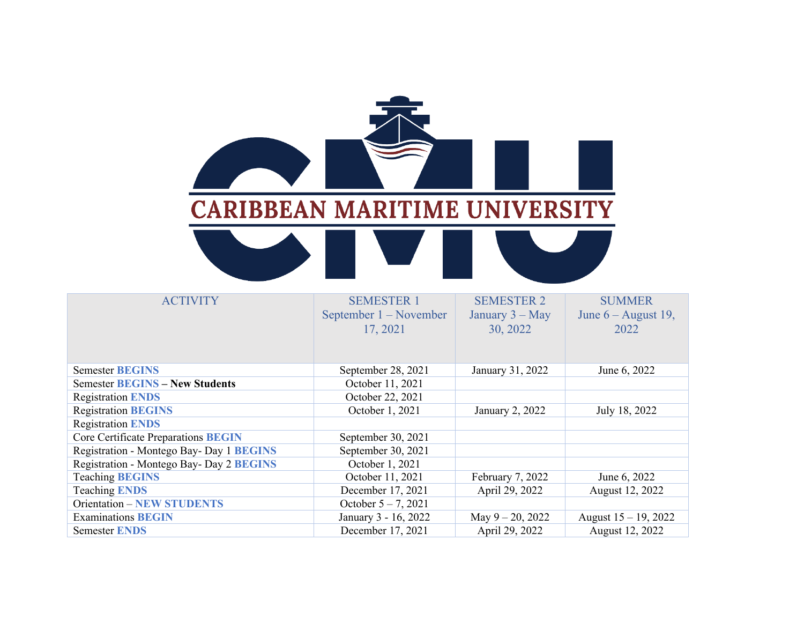

| <b>ACTIVITY</b>                            | <b>SEMESTER 1</b><br>September 1 – November<br>17, 2021 | <b>SEMESTER 2</b><br>January $3 - May$<br>30, 2022 | <b>SUMMER</b><br>June $6 -$ August 19,<br>2022 |
|--------------------------------------------|---------------------------------------------------------|----------------------------------------------------|------------------------------------------------|
| <b>Semester BEGINS</b>                     | September 28, 2021                                      | January 31, 2022                                   | June 6, 2022                                   |
| <b>Semester BEGINS - New Students</b>      | October 11, 2021                                        |                                                    |                                                |
| <b>Registration ENDS</b>                   | October 22, 2021                                        |                                                    |                                                |
| <b>Registration BEGINS</b>                 | October 1, 2021                                         | January 2, 2022                                    | July 18, 2022                                  |
| <b>Registration ENDS</b>                   |                                                         |                                                    |                                                |
| <b>Core Certificate Preparations BEGIN</b> | September 30, 2021                                      |                                                    |                                                |
| Registration - Montego Bay- Day 1 BEGINS   | September 30, 2021                                      |                                                    |                                                |
| Registration - Montego Bay- Day 2 BEGINS   | October 1, 2021                                         |                                                    |                                                |
| <b>Teaching BEGINS</b>                     | October 11, 2021                                        | February 7, 2022                                   | June 6, 2022                                   |
| <b>Teaching ENDS</b>                       | December 17, 2021                                       | April 29, 2022                                     | August 12, 2022                                |
| <b>Orientation – NEW STUDENTS</b>          | October $5 - 7$ , 2021                                  |                                                    |                                                |
| <b>Examinations BEGIN</b>                  | January 3 - 16, 2022                                    | May $9 - 20$ , 2022                                | August $15 - 19$ , 2022                        |
| <b>Semester ENDS</b>                       | December 17, 2021                                       | April 29, 2022                                     | August 12, 2022                                |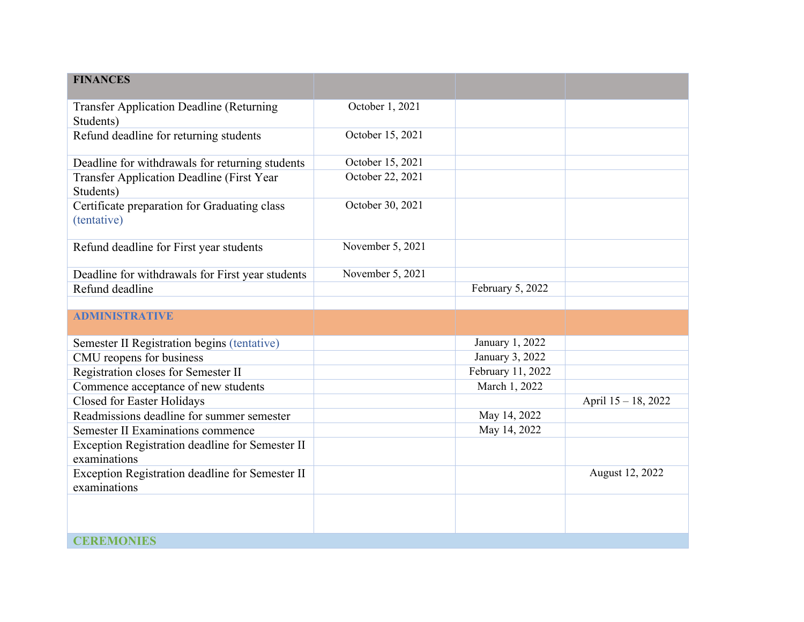| <b>FINANCES</b>                                                 |                  |                   |                     |
|-----------------------------------------------------------------|------------------|-------------------|---------------------|
| <b>Transfer Application Deadline (Returning</b><br>Students)    | October 1, 2021  |                   |                     |
| Refund deadline for returning students                          | October 15, 2021 |                   |                     |
| Deadline for withdrawals for returning students                 | October 15, 2021 |                   |                     |
| <b>Transfer Application Deadline (First Year</b><br>Students)   | October 22, 2021 |                   |                     |
| Certificate preparation for Graduating class<br>(tentative)     | October 30, 2021 |                   |                     |
| Refund deadline for First year students                         | November 5, 2021 |                   |                     |
| Deadline for withdrawals for First year students                | November 5, 2021 |                   |                     |
| Refund deadline                                                 |                  | February 5, 2022  |                     |
|                                                                 |                  |                   |                     |
| <b>ADMINISTRATIVE</b>                                           |                  |                   |                     |
| Semester II Registration begins (tentative)                     |                  | January 1, 2022   |                     |
| CMU reopens for business                                        |                  | January 3, 2022   |                     |
| Registration closes for Semester II                             |                  | February 11, 2022 |                     |
| Commence acceptance of new students                             |                  | March 1, 2022     |                     |
| Closed for Easter Holidays                                      |                  |                   | April 15 - 18, 2022 |
| Readmissions deadline for summer semester                       |                  | May 14, 2022      |                     |
| Semester II Examinations commence                               |                  | May 14, 2022      |                     |
| Exception Registration deadline for Semester II<br>examinations |                  |                   |                     |
| Exception Registration deadline for Semester II<br>examinations |                  |                   | August 12, 2022     |
|                                                                 |                  |                   |                     |
| <b>CEREMONIES</b>                                               |                  |                   |                     |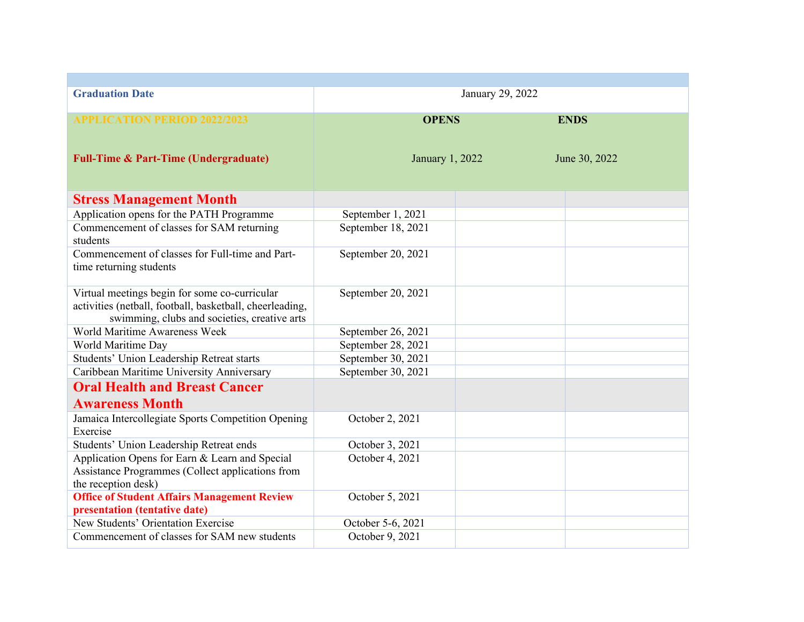| <b>Graduation Date</b>                                                                                                                                    |                    | January 29, 2022 |               |  |
|-----------------------------------------------------------------------------------------------------------------------------------------------------------|--------------------|------------------|---------------|--|
| <b>APPLICATION PERIOD 2022/2023</b>                                                                                                                       | <b>OPENS</b>       |                  | <b>ENDS</b>   |  |
| <b>Full-Time &amp; Part-Time (Undergraduate)</b>                                                                                                          | January 1, 2022    |                  | June 30, 2022 |  |
| <b>Stress Management Month</b>                                                                                                                            |                    |                  |               |  |
| Application opens for the PATH Programme                                                                                                                  | September 1, 2021  |                  |               |  |
| Commencement of classes for SAM returning<br>students                                                                                                     | September 18, 2021 |                  |               |  |
| Commencement of classes for Full-time and Part-<br>time returning students                                                                                | September 20, 2021 |                  |               |  |
| Virtual meetings begin for some co-curricular<br>activities (netball, football, basketball, cheerleading,<br>swimming, clubs and societies, creative arts | September 20, 2021 |                  |               |  |
| World Maritime Awareness Week                                                                                                                             | September 26, 2021 |                  |               |  |
| World Maritime Day                                                                                                                                        | September 28, 2021 |                  |               |  |
| Students' Union Leadership Retreat starts                                                                                                                 | September 30, 2021 |                  |               |  |
| Caribbean Maritime University Anniversary                                                                                                                 | September 30, 2021 |                  |               |  |
| <b>Oral Health and Breast Cancer</b>                                                                                                                      |                    |                  |               |  |
| <b>Awareness Month</b>                                                                                                                                    |                    |                  |               |  |
| Jamaica Intercollegiate Sports Competition Opening<br>Exercise                                                                                            | October 2, 2021    |                  |               |  |
| Students' Union Leadership Retreat ends                                                                                                                   | October 3, 2021    |                  |               |  |
| Application Opens for Earn & Learn and Special<br>Assistance Programmes (Collect applications from<br>the reception desk)                                 | October 4, 2021    |                  |               |  |
| <b>Office of Student Affairs Management Review</b><br>presentation (tentative date)                                                                       | October 5, 2021    |                  |               |  |
| New Students' Orientation Exercise                                                                                                                        | October 5-6, 2021  |                  |               |  |
| Commencement of classes for SAM new students                                                                                                              | October 9, 2021    |                  |               |  |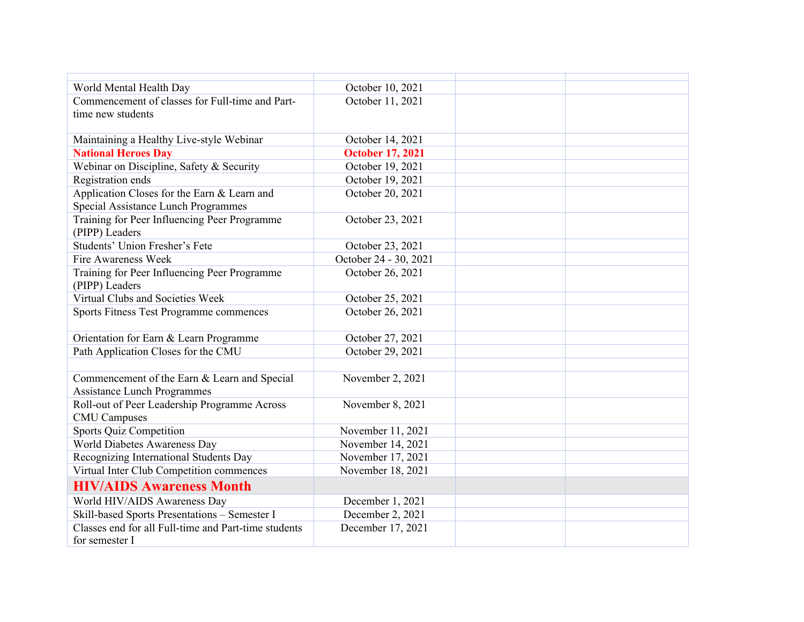| World Mental Health Day                              | October 10, 2021        |  |
|------------------------------------------------------|-------------------------|--|
| Commencement of classes for Full-time and Part-      | October 11, 2021        |  |
| time new students                                    |                         |  |
|                                                      |                         |  |
| Maintaining a Healthy Live-style Webinar             | October 14, 2021        |  |
| <b>National Heroes Day</b>                           | <b>October 17, 2021</b> |  |
| Webinar on Discipline, Safety & Security             | October 19, 2021        |  |
| Registration ends                                    | October 19, 2021        |  |
| Application Closes for the Earn & Learn and          | October 20, 2021        |  |
| Special Assistance Lunch Programmes                  |                         |  |
| Training for Peer Influencing Peer Programme         | October 23, 2021        |  |
| (PIPP) Leaders                                       |                         |  |
| Students' Union Fresher's Fete                       | October 23, 2021        |  |
| <b>Fire Awareness Week</b>                           | October 24 - 30, 2021   |  |
| Training for Peer Influencing Peer Programme         | October 26, 2021        |  |
| (PIPP) Leaders                                       |                         |  |
| Virtual Clubs and Societies Week                     | October 25, 2021        |  |
| Sports Fitness Test Programme commences              | October 26, 2021        |  |
|                                                      |                         |  |
| Orientation for Earn & Learn Programme               | October 27, 2021        |  |
| Path Application Closes for the CMU                  | October 29, 2021        |  |
|                                                      |                         |  |
| Commencement of the Earn & Learn and Special         | November 2, 2021        |  |
| <b>Assistance Lunch Programmes</b>                   |                         |  |
| Roll-out of Peer Leadership Programme Across         | November 8, 2021        |  |
| <b>CMU</b> Campuses                                  |                         |  |
| <b>Sports Quiz Competition</b>                       | November 11, 2021       |  |
| World Diabetes Awareness Day                         | November 14, 2021       |  |
| Recognizing International Students Day               | November 17, 2021       |  |
| Virtual Inter Club Competition commences             | November 18, 2021       |  |
| <b>HIV/AIDS Awareness Month</b>                      |                         |  |
| World HIV/AIDS Awareness Day                         | December 1, 2021        |  |
| Skill-based Sports Presentations - Semester I        | December 2, 2021        |  |
| Classes end for all Full-time and Part-time students | December 17, 2021       |  |
| for semester I                                       |                         |  |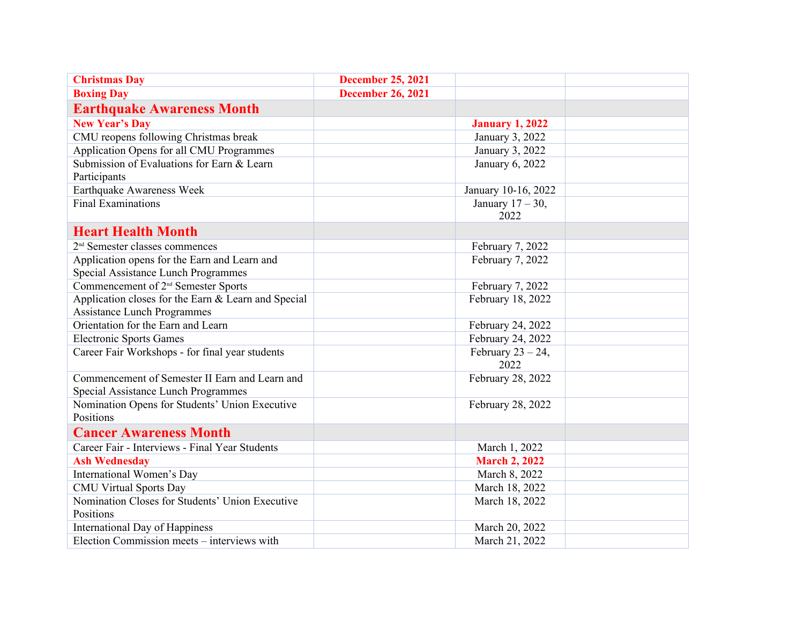| <b>Christmas Day</b>                                         | <b>December 25, 2021</b> |                              |  |
|--------------------------------------------------------------|--------------------------|------------------------------|--|
| <b>Boxing Day</b>                                            | <b>December 26, 2021</b> |                              |  |
| <b>Earthquake Awareness Month</b>                            |                          |                              |  |
| <b>New Year's Day</b>                                        |                          | <b>January 1, 2022</b>       |  |
| CMU reopens following Christmas break                        |                          | January 3, 2022              |  |
| Application Opens for all CMU Programmes                     |                          | January 3, 2022              |  |
| Submission of Evaluations for Earn & Learn<br>Participants   |                          | January 6, 2022              |  |
| Earthquake Awareness Week                                    |                          | January 10-16, 2022          |  |
| <b>Final Examinations</b>                                    |                          | January $17 - 30$ ,<br>2022  |  |
| <b>Heart Health Month</b>                                    |                          |                              |  |
| 2 <sup>nd</sup> Semester classes commences                   |                          | February 7, 2022             |  |
| Application opens for the Earn and Learn and                 |                          | February 7, 2022             |  |
| Special Assistance Lunch Programmes                          |                          |                              |  |
| Commencement of 2 <sup>nd</sup> Semester Sports              |                          | February 7, 2022             |  |
| Application closes for the Earn & Learn and Special          |                          | February 18, 2022            |  |
| <b>Assistance Lunch Programmes</b>                           |                          |                              |  |
| Orientation for the Earn and Learn                           |                          | February 24, 2022            |  |
| <b>Electronic Sports Games</b>                               |                          | February 24, 2022            |  |
| Career Fair Workshops - for final year students              |                          | February $23 - 24$ ,<br>2022 |  |
| Commencement of Semester II Earn and Learn and               |                          | February 28, 2022            |  |
| Special Assistance Lunch Programmes                          |                          |                              |  |
| Nomination Opens for Students' Union Executive<br>Positions  |                          | February 28, 2022            |  |
| <b>Cancer Awareness Month</b>                                |                          |                              |  |
| Career Fair - Interviews - Final Year Students               |                          | March 1, 2022                |  |
| <b>Ash Wednesday</b>                                         |                          | <b>March 2, 2022</b>         |  |
| International Women's Day                                    |                          | March 8, 2022                |  |
| <b>CMU Virtual Sports Day</b>                                |                          | March 18, 2022               |  |
| Nomination Closes for Students' Union Executive<br>Positions |                          | March 18, 2022               |  |
| <b>International Day of Happiness</b>                        |                          | March 20, 2022               |  |
| Election Commission meets – interviews with                  |                          | March 21, 2022               |  |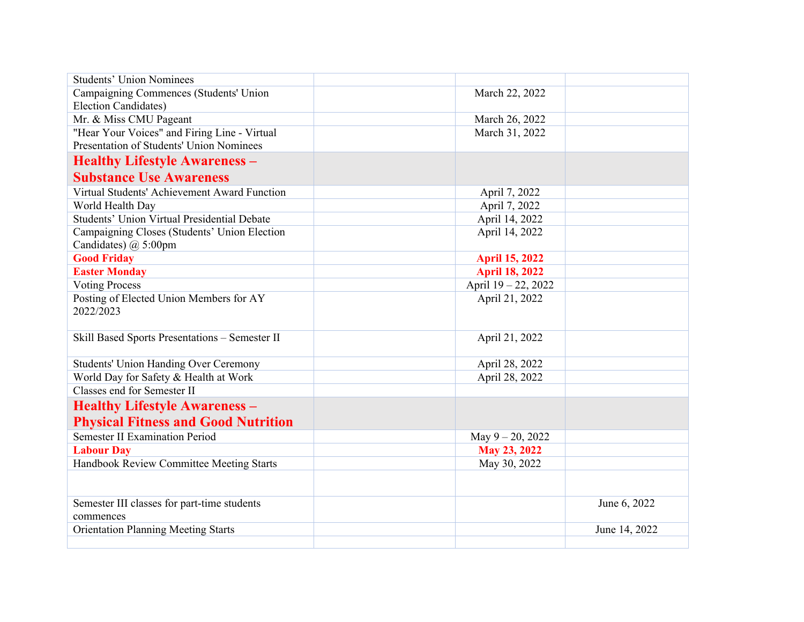| <b>Students' Union Nominees</b>                                          |                       |  |
|--------------------------------------------------------------------------|-----------------------|--|
| Campaigning Commences (Students' Union                                   | March 22, 2022        |  |
| <b>Election Candidates)</b>                                              |                       |  |
| Mr. & Miss CMU Pageant                                                   | March 26, 2022        |  |
| "Hear Your Voices" and Firing Line - Virtual                             | March 31, 2022        |  |
| Presentation of Students' Union Nominees                                 |                       |  |
| <b>Healthy Lifestyle Awareness -</b>                                     |                       |  |
| <b>Substance Use Awareness</b>                                           |                       |  |
| Virtual Students' Achievement Award Function                             | April 7, 2022         |  |
| World Health Day                                                         | April 7, 2022         |  |
| <b>Students' Union Virtual Presidential Debate</b>                       | April 14, 2022        |  |
| Campaigning Closes (Students' Union Election<br>Candidates) $(a)$ 5:00pm | April 14, 2022        |  |
| <b>Good Friday</b>                                                       | <b>April 15, 2022</b> |  |
| <b>Easter Monday</b>                                                     | <b>April 18, 2022</b> |  |
| <b>Voting Process</b>                                                    | April 19 - 22, 2022   |  |
| Posting of Elected Union Members for AY<br>2022/2023                     | April 21, 2022        |  |
| Skill Based Sports Presentations - Semester II                           | April 21, 2022        |  |
| <b>Students' Union Handing Over Ceremony</b>                             | April 28, 2022        |  |
| World Day for Safety & Health at Work                                    | April 28, 2022        |  |
| Classes end for Semester II                                              |                       |  |
| <b>Healthy Lifestyle Awareness -</b>                                     |                       |  |
| <b>Physical Fitness and Good Nutrition</b>                               |                       |  |
| <b>Semester II Examination Period</b>                                    | May 9-20, 2022        |  |
| <b>Labour Day</b>                                                        | May 23, 2022          |  |
| Handbook Review Committee Meeting Starts                                 | May 30, 2022          |  |
|                                                                          |                       |  |
| Semester III classes for part-time students<br>commences                 | June 6, 2022          |  |
| <b>Orientation Planning Meeting Starts</b>                               | June 14, 2022         |  |
|                                                                          |                       |  |